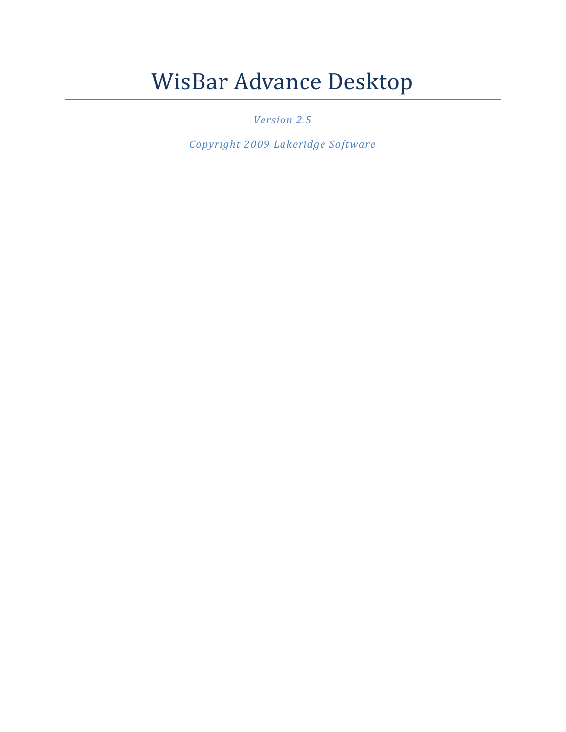# WisBar Advance Desktop

*Version 2.5*

*Copyright 2009 Lakeridge Software*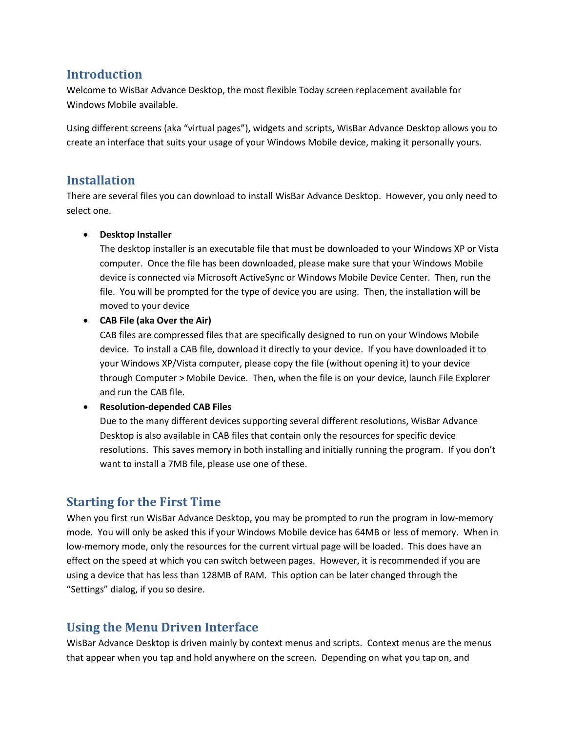## **Introduction**

Welcome to WisBar Advance Desktop, the most flexible Today screen replacement available for Windows Mobile available.

Using different screens (aka "virtual pages"), widgets and scripts, WisBar Advance Desktop allows you to create an interface that suits your usage of your Windows Mobile device, making it personally yours.

# **Installation**

There are several files you can download to install WisBar Advance Desktop. However, you only need to select one.

#### **Desktop Installer**

The desktop installer is an executable file that must be downloaded to your Windows XP or Vista computer. Once the file has been downloaded, please make sure that your Windows Mobile device is connected via Microsoft ActiveSync or Windows Mobile Device Center. Then, run the file. You will be prompted for the type of device you are using. Then, the installation will be moved to your device

#### **CAB File (aka Over the Air)**

CAB files are compressed files that are specifically designed to run on your Windows Mobile device. To install a CAB file, download it directly to your device. If you have downloaded it to your Windows XP/Vista computer, please copy the file (without opening it) to your device through Computer > Mobile Device. Then, when the file is on your device, launch File Explorer and run the CAB file.

#### **Resolution-depended CAB Files**

Due to the many different devices supporting several different resolutions, WisBar Advance Desktop is also available in CAB files that contain only the resources for specific device resolutions. This saves memory in both installing and initially running the program. If you don't want to install a 7MB file, please use one of these.

# **Starting for the First Time**

When you first run WisBar Advance Desktop, you may be prompted to run the program in low-memory mode. You will only be asked this if your Windows Mobile device has 64MB or less of memory. When in low-memory mode, only the resources for the current virtual page will be loaded. This does have an effect on the speed at which you can switch between pages. However, it is recommended if you are using a device that has less than 128MB of RAM. This option can be later changed through the "Settings" dialog, if you so desire.

# **Using the Menu Driven Interface**

WisBar Advance Desktop is driven mainly by context menus and scripts. Context menus are the menus that appear when you tap and hold anywhere on the screen. Depending on what you tap on, and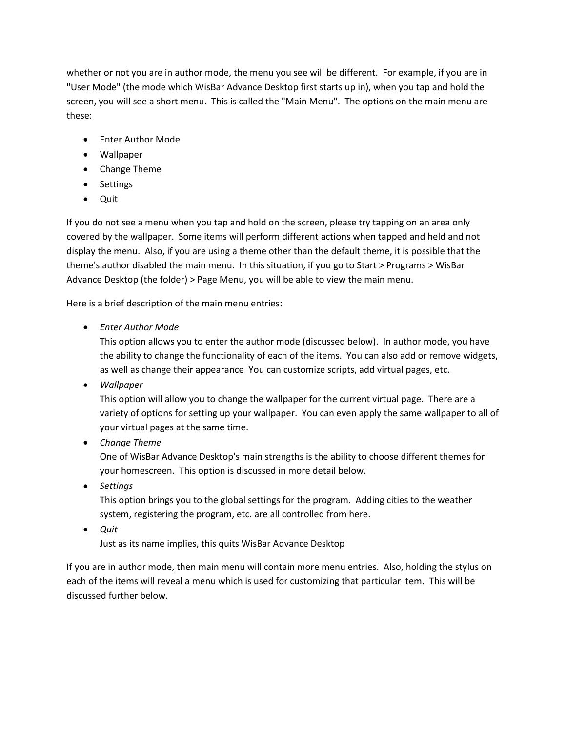whether or not you are in author mode, the menu you see will be different. For example, if you are in "User Mode" (the mode which WisBar Advance Desktop first starts up in), when you tap and hold the screen, you will see a short menu. This is called the "Main Menu". The options on the main menu are these:

- **•** Fnter Author Mode
- Wallpaper
- Change Theme
- Settings
- Quit

If you do not see a menu when you tap and hold on the screen, please try tapping on an area only covered by the wallpaper. Some items will perform different actions when tapped and held and not display the menu. Also, if you are using a theme other than the default theme, it is possible that the theme's author disabled the main menu. In this situation, if you go to Start > Programs > WisBar Advance Desktop (the folder) > Page Menu, you will be able to view the main menu.

Here is a brief description of the main menu entries:

*Enter Author Mode*

This option allows you to enter the author mode (discussed below). In author mode, you have the ability to change the functionality of each of the items. You can also add or remove widgets, as well as change their appearance You can customize scripts, add virtual pages, etc.

*Wallpaper*

This option will allow you to change the wallpaper for the current virtual page. There are a variety of options for setting up your wallpaper. You can even apply the same wallpaper to all of your virtual pages at the same time.

*Change Theme*

One of WisBar Advance Desktop's main strengths is the ability to choose different themes for your homescreen. This option is discussed in more detail below.

*Settings*

This option brings you to the global settings for the program. Adding cities to the weather system, registering the program, etc. are all controlled from here.

*Quit*

Just as its name implies, this quits WisBar Advance Desktop

If you are in author mode, then main menu will contain more menu entries. Also, holding the stylus on each of the items will reveal a menu which is used for customizing that particular item. This will be discussed further below.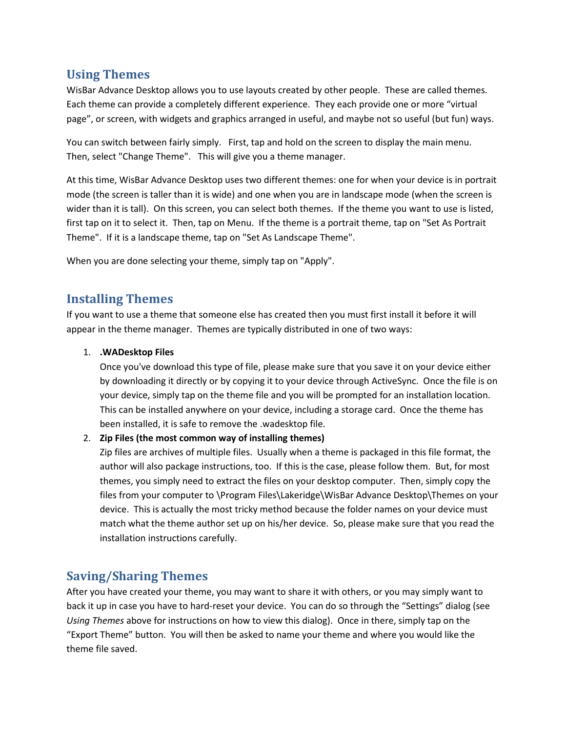## **Using Themes**

WisBar Advance Desktop allows you to use layouts created by other people. These are called themes. Each theme can provide a completely different experience. They each provide one or more "virtual page", or screen, with widgets and graphics arranged in useful, and maybe not so useful (but fun) ways.

You can switch between fairly simply. First, tap and hold on the screen to display the main menu. Then, select "Change Theme". This will give you a theme manager.

At this time, WisBar Advance Desktop uses two different themes: one for when your device is in portrait mode (the screen is taller than it is wide) and one when you are in landscape mode (when the screen is wider than it is tall). On this screen, you can select both themes. If the theme you want to use is listed, first tap on it to select it. Then, tap on Menu. If the theme is a portrait theme, tap on "Set As Portrait Theme". If it is a landscape theme, tap on "Set As Landscape Theme".

When you are done selecting your theme, simply tap on "Apply".

# **Installing Themes**

If you want to use a theme that someone else has created then you must first install it before it will appear in the theme manager. Themes are typically distributed in one of two ways:

#### 1. **.WADesktop Files**

Once you've download this type of file, please make sure that you save it on your device either by downloading it directly or by copying it to your device through ActiveSync. Once the file is on your device, simply tap on the theme file and you will be prompted for an installation location. This can be installed anywhere on your device, including a storage card. Once the theme has been installed, it is safe to remove the .wadesktop file.

#### 2. **Zip Files (the most common way of installing themes)**

Zip files are archives of multiple files. Usually when a theme is packaged in this file format, the author will also package instructions, too. If this is the case, please follow them. But, for most themes, you simply need to extract the files on your desktop computer. Then, simply copy the files from your computer to \Program Files\Lakeridge\WisBar Advance Desktop\Themes on your device. This is actually the most tricky method because the folder names on your device must match what the theme author set up on his/her device. So, please make sure that you read the installation instructions carefully.

# **Saving/Sharing Themes**

After you have created your theme, you may want to share it with others, or you may simply want to back it up in case you have to hard-reset your device. You can do so through the "Settings" dialog (see *Using Themes* above for instructions on how to view this dialog). Once in there, simply tap on the "Export Theme" button. You will then be asked to name your theme and where you would like the theme file saved.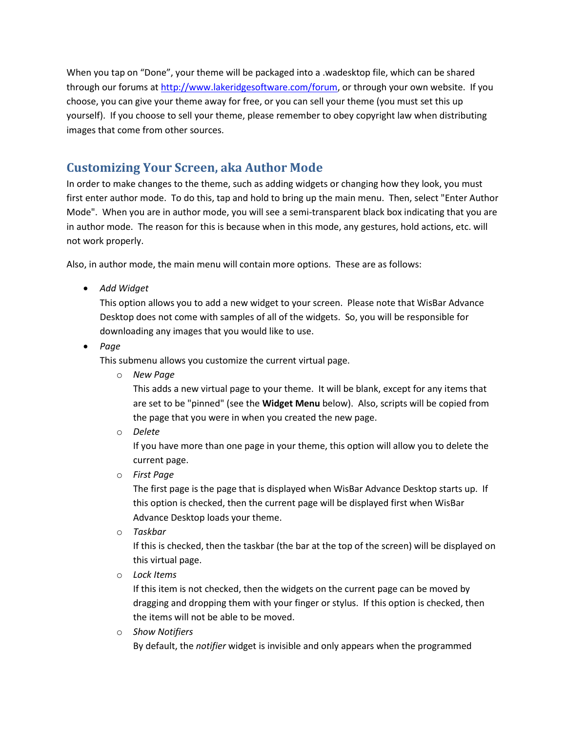When you tap on "Done", your theme will be packaged into a .wadesktop file, which can be shared through our forums at [http://www.lakeridgesoftware.com/forum,](http://www.lakeridgesoftware.com/forum) or through your own website. If you choose, you can give your theme away for free, or you can sell your theme (you must set this up yourself). If you choose to sell your theme, please remember to obey copyright law when distributing images that come from other sources.

# **Customizing Your Screen, aka Author Mode**

In order to make changes to the theme, such as adding widgets or changing how they look, you must first enter author mode. To do this, tap and hold to bring up the main menu. Then, select "Enter Author Mode". When you are in author mode, you will see a semi-transparent black box indicating that you are in author mode. The reason for this is because when in this mode, any gestures, hold actions, etc. will not work properly.

Also, in author mode, the main menu will contain more options. These are as follows:

*Add Widget*

This option allows you to add a new widget to your screen. Please note that WisBar Advance Desktop does not come with samples of all of the widgets. So, you will be responsible for downloading any images that you would like to use.

*Page*

This submenu allows you customize the current virtual page.

o *New Page*

This adds a new virtual page to your theme. It will be blank, except for any items that are set to be "pinned" (see the **Widget Menu** below). Also, scripts will be copied from the page that you were in when you created the new page.

o *Delete*

If you have more than one page in your theme, this option will allow you to delete the current page.

o *First Page*

The first page is the page that is displayed when WisBar Advance Desktop starts up. If this option is checked, then the current page will be displayed first when WisBar Advance Desktop loads your theme.

o *Taskbar*

If this is checked, then the taskbar (the bar at the top of the screen) will be displayed on this virtual page.

o *Lock Items*

If this item is not checked, then the widgets on the current page can be moved by dragging and dropping them with your finger or stylus. If this option is checked, then the items will not be able to be moved.

o *Show Notifiers*

By default, the *notifier* widget is invisible and only appears when the programmed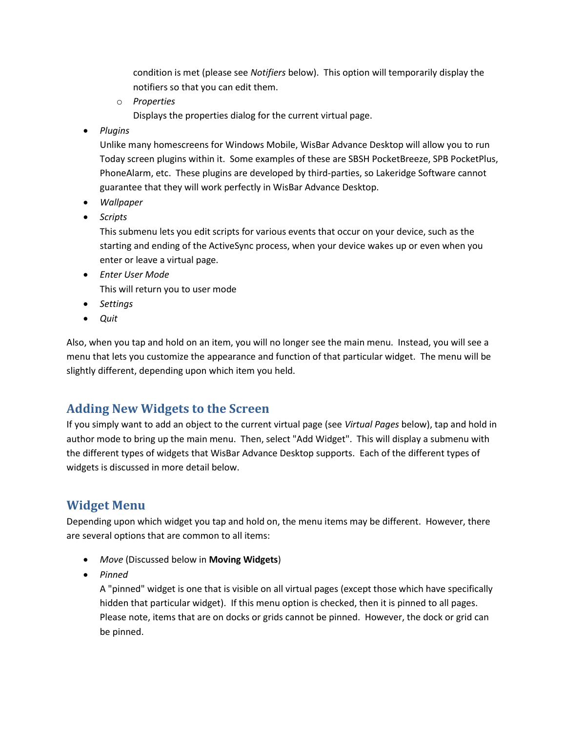condition is met (please see *Notifiers* below). This option will temporarily display the notifiers so that you can edit them.

- o *Properties* Displays the properties dialog for the current virtual page.
- *Plugins*

Unlike many homescreens for Windows Mobile, WisBar Advance Desktop will allow you to run Today screen plugins within it. Some examples of these are SBSH PocketBreeze, SPB PocketPlus, PhoneAlarm, etc. These plugins are developed by third-parties, so Lakeridge Software cannot guarantee that they will work perfectly in WisBar Advance Desktop.

- *Wallpaper*
- *Scripts*

This submenu lets you edit scripts for various events that occur on your device, such as the starting and ending of the ActiveSync process, when your device wakes up or even when you enter or leave a virtual page.

- *Enter User Mode* This will return you to user mode
- *Settings*
- *Quit*

Also, when you tap and hold on an item, you will no longer see the main menu. Instead, you will see a menu that lets you customize the appearance and function of that particular widget. The menu will be slightly different, depending upon which item you held.

# **Adding New Widgets to the Screen**

If you simply want to add an object to the current virtual page (see *Virtual Pages* below), tap and hold in author mode to bring up the main menu. Then, select "Add Widget". This will display a submenu with the different types of widgets that WisBar Advance Desktop supports. Each of the different types of widgets is discussed in more detail below.

# **Widget Menu**

Depending upon which widget you tap and hold on, the menu items may be different. However, there are several options that are common to all items:

- *Move* (Discussed below in **Moving Widgets**)
- *Pinned*

A "pinned" widget is one that is visible on all virtual pages (except those which have specifically hidden that particular widget). If this menu option is checked, then it is pinned to all pages. Please note, items that are on docks or grids cannot be pinned. However, the dock or grid can be pinned.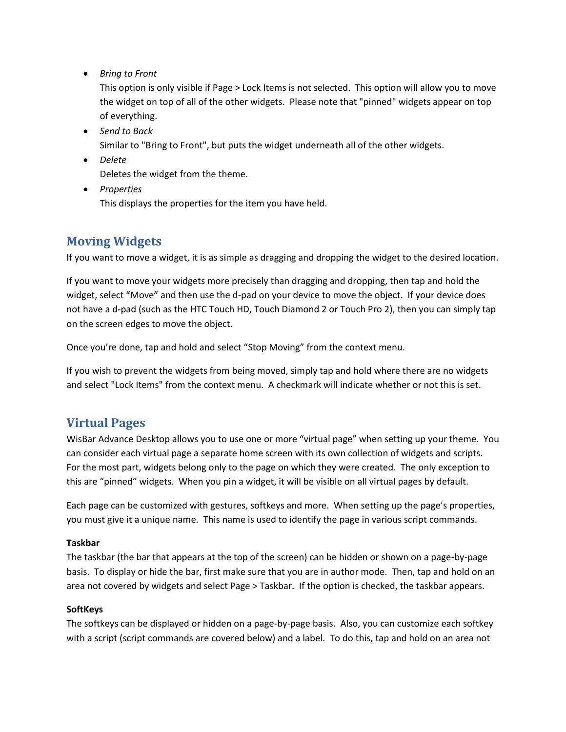*Bring to Front*

This option is only visible if Page > Lock Items is not selected. This option will allow you to move the widget on top of all of the other widgets. Please note that "pinned" widgets appear on top of everything.

- *Send to Back* Similar to "Bring to Front", but puts the widget underneath all of the other widgets.
- *Delete* Deletes the widget from the theme.
- *Properties* This displays the properties for the item you have held.

# **Moving Widgets**

If you want to move a widget, it is as simple as dragging and dropping the widget to the desired location.

If you want to move your widgets more precisely than dragging and dropping, then tap and hold the widget, select "Move" and then use the d-pad on your device to move the object. If your device does not have a d-pad (such as the HTC Touch HD, Touch Diamond 2 or Touch Pro 2), then you can simply tap on the screen edges to move the object.

Once you're done, tap and hold and select "Stop Moving" from the context menu.

If you wish to prevent the widgets from being moved, simply tap and hold where there are no widgets and select "Lock Items" from the context menu. A checkmark will indicate whether or not this is set.

# **Virtual Pages**

WisBar Advance Desktop allows you to use one or more "virtual page" when setting up your theme. You can consider each virtual page a separate home screen with its own collection of widgets and scripts. For the most part, widgets belong only to the page on which they were created. The only exception to this are "pinned" widgets. When you pin a widget, it will be visible on all virtual pages by default.

Each page can be customized with gestures, softkeys and more. When setting up the page's properties, you must give it a unique name. This name is used to identify the page in various script commands.

#### **Taskbar**

The taskbar (the bar that appears at the top of the screen) can be hidden or shown on a page-by-page basis. To display or hide the bar, first make sure that you are in author mode. Then, tap and hold on an area not covered by widgets and select Page > Taskbar. If the option is checked, the taskbar appears.

#### **SoftKeys**

The softkeys can be displayed or hidden on a page-by-page basis. Also, you can customize each softkey with a script (script commands are covered below) and a label. To do this, tap and hold on an area not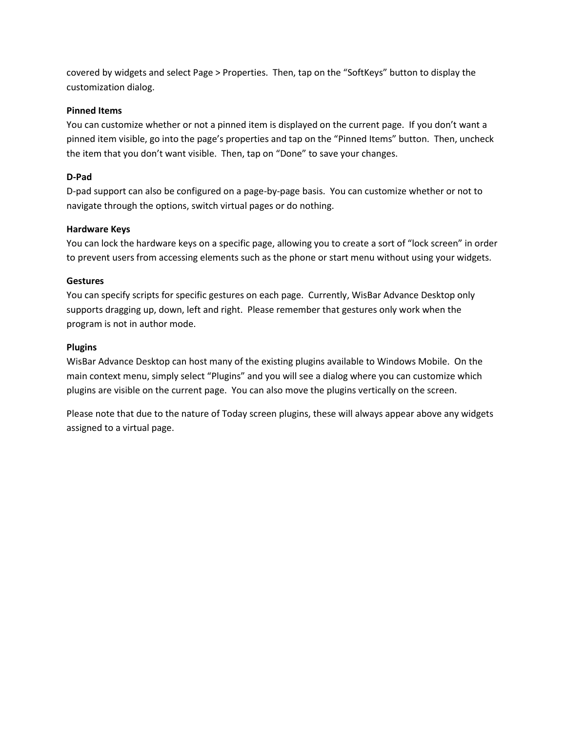covered by widgets and select Page > Properties. Then, tap on the "SoftKeys" button to display the customization dialog.

#### **Pinned Items**

You can customize whether or not a pinned item is displayed on the current page. If you don't want a pinned item visible, go into the page's properties and tap on the "Pinned Items" button. Then, uncheck the item that you don't want visible. Then, tap on "Done" to save your changes.

#### **D-Pad**

D-pad support can also be configured on a page-by-page basis. You can customize whether or not to navigate through the options, switch virtual pages or do nothing.

#### **Hardware Keys**

You can lock the hardware keys on a specific page, allowing you to create a sort of "lock screen" in order to prevent users from accessing elements such as the phone or start menu without using your widgets.

#### **Gestures**

You can specify scripts for specific gestures on each page. Currently, WisBar Advance Desktop only supports dragging up, down, left and right. Please remember that gestures only work when the program is not in author mode.

#### **Plugins**

WisBar Advance Desktop can host many of the existing plugins available to Windows Mobile. On the main context menu, simply select "Plugins" and you will see a dialog where you can customize which plugins are visible on the current page. You can also move the plugins vertically on the screen.

Please note that due to the nature of Today screen plugins, these will always appear above any widgets assigned to a virtual page.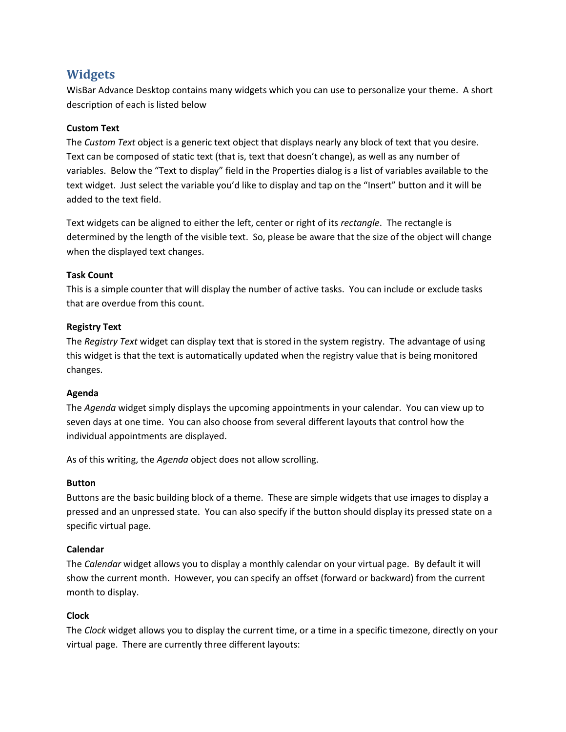# **Widgets**

WisBar Advance Desktop contains many widgets which you can use to personalize your theme. A short description of each is listed below

#### **Custom Text**

The *Custom Text* object is a generic text object that displays nearly any block of text that you desire. Text can be composed of static text (that is, text that doesn't change), as well as any number of variables. Below the "Text to display" field in the Properties dialog is a list of variables available to the text widget. Just select the variable you'd like to display and tap on the "Insert" button and it will be added to the text field.

Text widgets can be aligned to either the left, center or right of its *rectangle*. The rectangle is determined by the length of the visible text. So, please be aware that the size of the object will change when the displayed text changes.

#### **Task Count**

This is a simple counter that will display the number of active tasks. You can include or exclude tasks that are overdue from this count.

#### **Registry Text**

The *Registry Text* widget can display text that is stored in the system registry. The advantage of using this widget is that the text is automatically updated when the registry value that is being monitored changes.

#### **Agenda**

The *Agenda* widget simply displays the upcoming appointments in your calendar. You can view up to seven days at one time. You can also choose from several different layouts that control how the individual appointments are displayed.

As of this writing, the *Agenda* object does not allow scrolling.

#### **Button**

Buttons are the basic building block of a theme. These are simple widgets that use images to display a pressed and an unpressed state. You can also specify if the button should display its pressed state on a specific virtual page.

#### **Calendar**

The *Calendar* widget allows you to display a monthly calendar on your virtual page. By default it will show the current month. However, you can specify an offset (forward or backward) from the current month to display.

#### **Clock**

The *Clock* widget allows you to display the current time, or a time in a specific timezone, directly on your virtual page. There are currently three different layouts: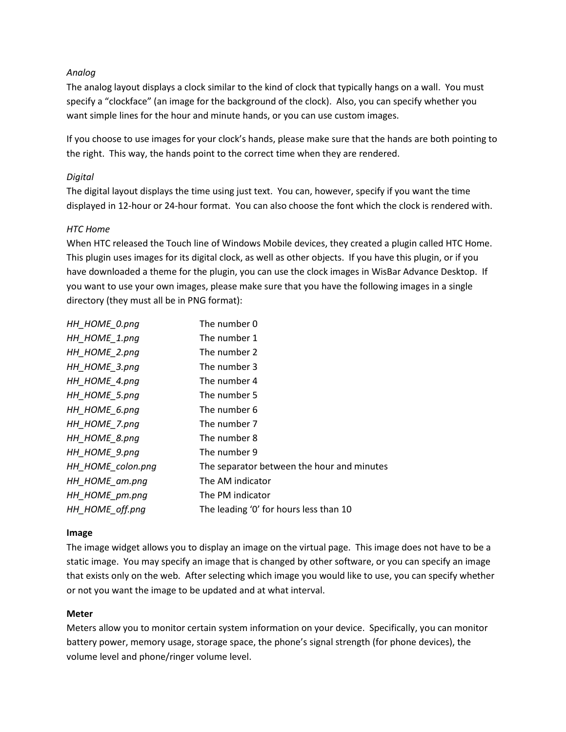#### *Analog*

The analog layout displays a clock similar to the kind of clock that typically hangs on a wall. You must specify a "clockface" (an image for the background of the clock). Also, you can specify whether you want simple lines for the hour and minute hands, or you can use custom images.

If you choose to use images for your clock's hands, please make sure that the hands are both pointing to the right. This way, the hands point to the correct time when they are rendered.

#### *Digital*

The digital layout displays the time using just text. You can, however, specify if you want the time displayed in 12-hour or 24-hour format. You can also choose the font which the clock is rendered with.

#### *HTC Home*

When HTC released the Touch line of Windows Mobile devices, they created a plugin called HTC Home. This plugin uses images for its digital clock, as well as other objects. If you have this plugin, or if you have downloaded a theme for the plugin, you can use the clock images in WisBar Advance Desktop. If you want to use your own images, please make sure that you have the following images in a single directory (they must all be in PNG format):

| HH HOME 0.png     | The number 0                               |
|-------------------|--------------------------------------------|
| HH_HOME_1.png     | The number 1                               |
| HH_HOME_2.png     | The number 2                               |
| HH_HOME_3.png     | The number 3                               |
| HH_HOME_4.png     | The number 4                               |
| HH_HOME_5.png     | The number 5                               |
| HH HOME_6.png     | The number 6                               |
| HH_HOME_7.png     | The number 7                               |
| HH_HOME_8.png     | The number 8                               |
| HH HOME_9.png     | The number 9                               |
| HH_HOME_colon.png | The separator between the hour and minutes |
| HH_HOME_am.png    | The AM indicator                           |
| HH HOME pm.png    | The PM indicator                           |
| HH HOME_off.png   | The leading '0' for hours less than 10     |

#### **Image**

The image widget allows you to display an image on the virtual page. This image does not have to be a static image. You may specify an image that is changed by other software, or you can specify an image that exists only on the web. After selecting which image you would like to use, you can specify whether or not you want the image to be updated and at what interval.

#### **Meter**

Meters allow you to monitor certain system information on your device. Specifically, you can monitor battery power, memory usage, storage space, the phone's signal strength (for phone devices), the volume level and phone/ringer volume level.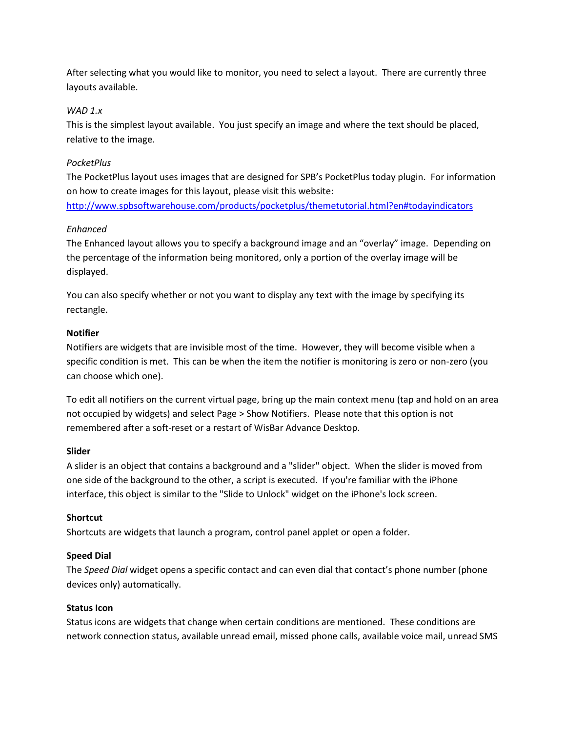After selecting what you would like to monitor, you need to select a layout. There are currently three layouts available.

#### *WAD 1.x*

This is the simplest layout available. You just specify an image and where the text should be placed, relative to the image.

#### *PocketPlus*

The PocketPlus layout uses images that are designed for SPB's PocketPlus today plugin. For information on how to create images for this layout, please visit this website: <http://www.spbsoftwarehouse.com/products/pocketplus/themetutorial.html?en#todayindicators>

#### *Enhanced*

The Enhanced layout allows you to specify a background image and an "overlay" image. Depending on the percentage of the information being monitored, only a portion of the overlay image will be displayed.

You can also specify whether or not you want to display any text with the image by specifying its rectangle.

#### **Notifier**

Notifiers are widgets that are invisible most of the time. However, they will become visible when a specific condition is met. This can be when the item the notifier is monitoring is zero or non-zero (you can choose which one).

To edit all notifiers on the current virtual page, bring up the main context menu (tap and hold on an area not occupied by widgets) and select Page > Show Notifiers. Please note that this option is not remembered after a soft-reset or a restart of WisBar Advance Desktop.

#### **Slider**

A slider is an object that contains a background and a "slider" object. When the slider is moved from one side of the background to the other, a script is executed. If you're familiar with the iPhone interface, this object is similar to the "Slide to Unlock" widget on the iPhone's lock screen.

#### **Shortcut**

Shortcuts are widgets that launch a program, control panel applet or open a folder.

#### **Speed Dial**

The *Speed Dial* widget opens a specific contact and can even dial that contact's phone number (phone devices only) automatically.

#### **Status Icon**

Status icons are widgets that change when certain conditions are mentioned. These conditions are network connection status, available unread email, missed phone calls, available voice mail, unread SMS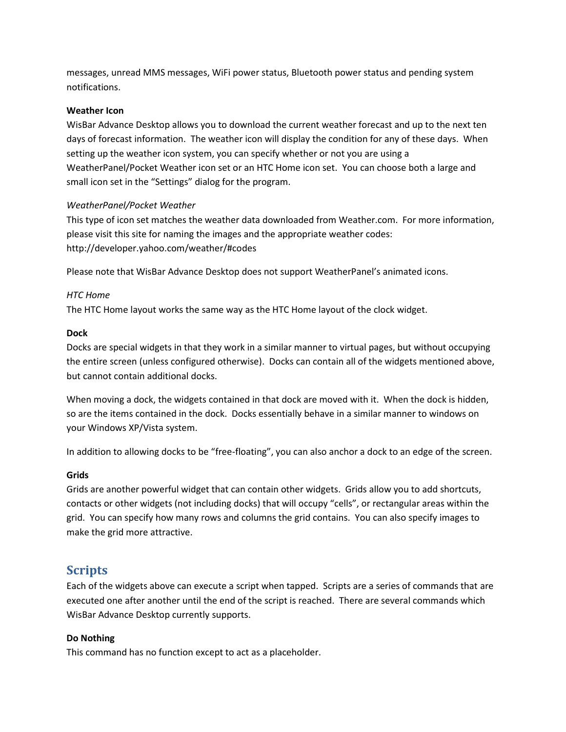messages, unread MMS messages, WiFi power status, Bluetooth power status and pending system notifications.

#### **Weather Icon**

WisBar Advance Desktop allows you to download the current weather forecast and up to the next ten days of forecast information. The weather icon will display the condition for any of these days. When setting up the weather icon system, you can specify whether or not you are using a WeatherPanel/Pocket Weather icon set or an HTC Home icon set. You can choose both a large and small icon set in the "Settings" dialog for the program.

#### *WeatherPanel/Pocket Weather*

This type of icon set matches the weather data downloaded from Weather.com. For more information, please visit this site for naming the images and the appropriate weather codes: http://developer.yahoo.com/weather/#codes

Please note that WisBar Advance Desktop does not support WeatherPanel's animated icons.

#### *HTC Home*

The HTC Home layout works the same way as the HTC Home layout of the clock widget.

#### **Dock**

Docks are special widgets in that they work in a similar manner to virtual pages, but without occupying the entire screen (unless configured otherwise). Docks can contain all of the widgets mentioned above, but cannot contain additional docks.

When moving a dock, the widgets contained in that dock are moved with it. When the dock is hidden, so are the items contained in the dock. Docks essentially behave in a similar manner to windows on your Windows XP/Vista system.

In addition to allowing docks to be "free-floating", you can also anchor a dock to an edge of the screen.

#### **Grids**

Grids are another powerful widget that can contain other widgets. Grids allow you to add shortcuts, contacts or other widgets (not including docks) that will occupy "cells", or rectangular areas within the grid. You can specify how many rows and columns the grid contains. You can also specify images to make the grid more attractive.

### **Scripts**

Each of the widgets above can execute a script when tapped. Scripts are a series of commands that are executed one after another until the end of the script is reached. There are several commands which WisBar Advance Desktop currently supports.

#### **Do Nothing**

This command has no function except to act as a placeholder.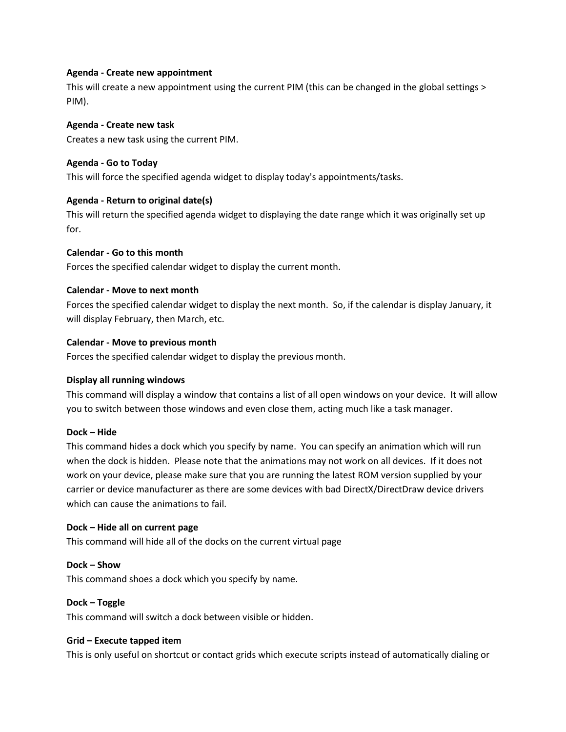#### **Agenda - Create new appointment**

This will create a new appointment using the current PIM (this can be changed in the global settings > PIM).

#### **Agenda - Create new task**

Creates a new task using the current PIM.

#### **Agenda - Go to Today**

This will force the specified agenda widget to display today's appointments/tasks.

#### **Agenda - Return to original date(s)**

This will return the specified agenda widget to displaying the date range which it was originally set up for.

#### **Calendar - Go to this month**

Forces the specified calendar widget to display the current month.

#### **Calendar - Move to next month**

Forces the specified calendar widget to display the next month. So, if the calendar is display January, it will display February, then March, etc.

#### **Calendar - Move to previous month**

Forces the specified calendar widget to display the previous month.

#### **Display all running windows**

This command will display a window that contains a list of all open windows on your device. It will allow you to switch between those windows and even close them, acting much like a task manager.

#### **Dock – Hide**

This command hides a dock which you specify by name. You can specify an animation which will run when the dock is hidden. Please note that the animations may not work on all devices. If it does not work on your device, please make sure that you are running the latest ROM version supplied by your carrier or device manufacturer as there are some devices with bad DirectX/DirectDraw device drivers which can cause the animations to fail.

#### **Dock – Hide all on current page**

This command will hide all of the docks on the current virtual page

#### **Dock – Show**

This command shoes a dock which you specify by name.

#### **Dock – Toggle**

This command will switch a dock between visible or hidden.

#### **Grid – Execute tapped item**

This is only useful on shortcut or contact grids which execute scripts instead of automatically dialing or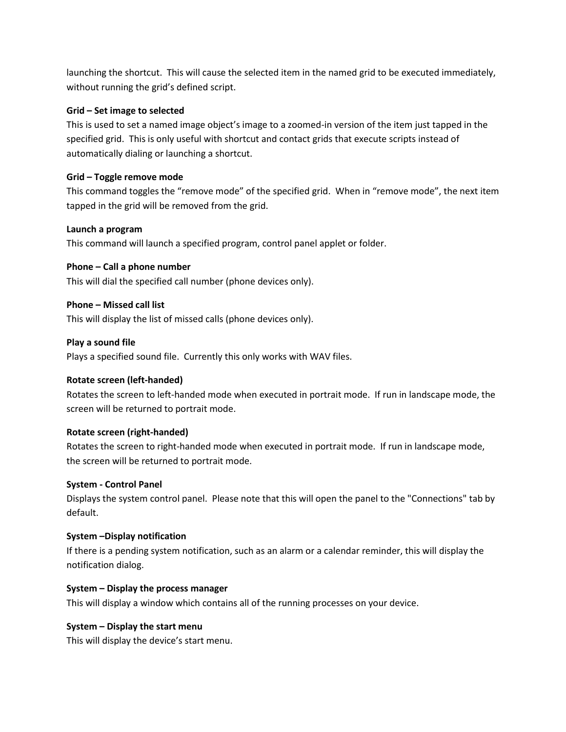launching the shortcut. This will cause the selected item in the named grid to be executed immediately, without running the grid's defined script.

#### **Grid – Set image to selected**

This is used to set a named image object's image to a zoomed-in version of the item just tapped in the specified grid. This is only useful with shortcut and contact grids that execute scripts instead of automatically dialing or launching a shortcut.

#### **Grid – Toggle remove mode**

This command toggles the "remove mode" of the specified grid. When in "remove mode", the next item tapped in the grid will be removed from the grid.

#### **Launch a program**

This command will launch a specified program, control panel applet or folder.

#### **Phone – Call a phone number**

This will dial the specified call number (phone devices only).

#### **Phone – Missed call list**

This will display the list of missed calls (phone devices only).

#### **Play a sound file**

Plays a specified sound file. Currently this only works with WAV files.

#### **Rotate screen (left-handed)**

Rotates the screen to left-handed mode when executed in portrait mode. If run in landscape mode, the screen will be returned to portrait mode.

#### **Rotate screen (right-handed)**

Rotates the screen to right-handed mode when executed in portrait mode. If run in landscape mode, the screen will be returned to portrait mode.

#### **System - Control Panel**

Displays the system control panel. Please note that this will open the panel to the "Connections" tab by default.

#### **System –Display notification**

If there is a pending system notification, such as an alarm or a calendar reminder, this will display the notification dialog.

#### **System – Display the process manager**

This will display a window which contains all of the running processes on your device.

#### **System – Display the start menu**

This will display the device's start menu.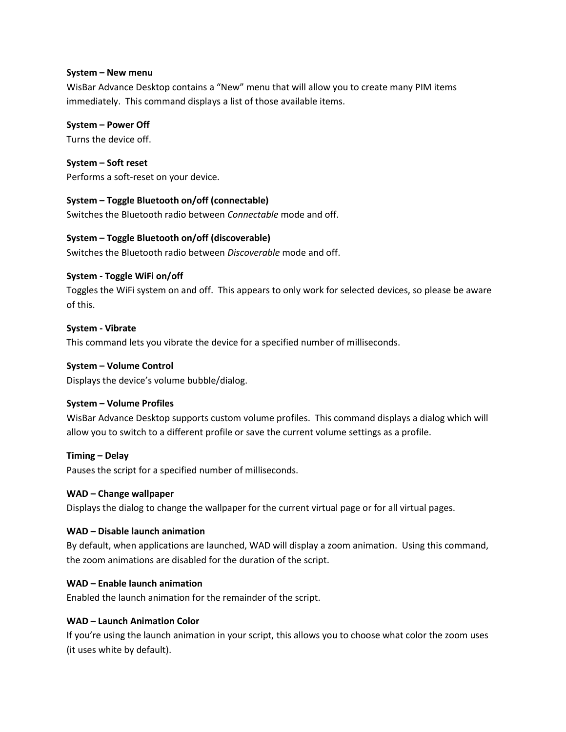#### **System – New menu**

WisBar Advance Desktop contains a "New" menu that will allow you to create many PIM items immediately. This command displays a list of those available items.

#### **System – Power Off**

Turns the device off.

**System – Soft reset** Performs a soft-reset on your device.

#### **System – Toggle Bluetooth on/off (connectable)**

Switches the Bluetooth radio between *Connectable* mode and off.

#### **System – Toggle Bluetooth on/off (discoverable)**

Switches the Bluetooth radio between *Discoverable* mode and off.

#### **System - Toggle WiFi on/off**

Toggles the WiFi system on and off. This appears to only work for selected devices, so please be aware of this.

#### **System - Vibrate**

This command lets you vibrate the device for a specified number of milliseconds.

#### **System – Volume Control**

Displays the device's volume bubble/dialog.

#### **System – Volume Profiles**

WisBar Advance Desktop supports custom volume profiles. This command displays a dialog which will allow you to switch to a different profile or save the current volume settings as a profile.

#### **Timing – Delay**

Pauses the script for a specified number of milliseconds.

#### **WAD – Change wallpaper**

Displays the dialog to change the wallpaper for the current virtual page or for all virtual pages.

#### **WAD – Disable launch animation**

By default, when applications are launched, WAD will display a zoom animation. Using this command, the zoom animations are disabled for the duration of the script.

#### **WAD – Enable launch animation**

Enabled the launch animation for the remainder of the script.

#### **WAD – Launch Animation Color**

If you're using the launch animation in your script, this allows you to choose what color the zoom uses (it uses white by default).